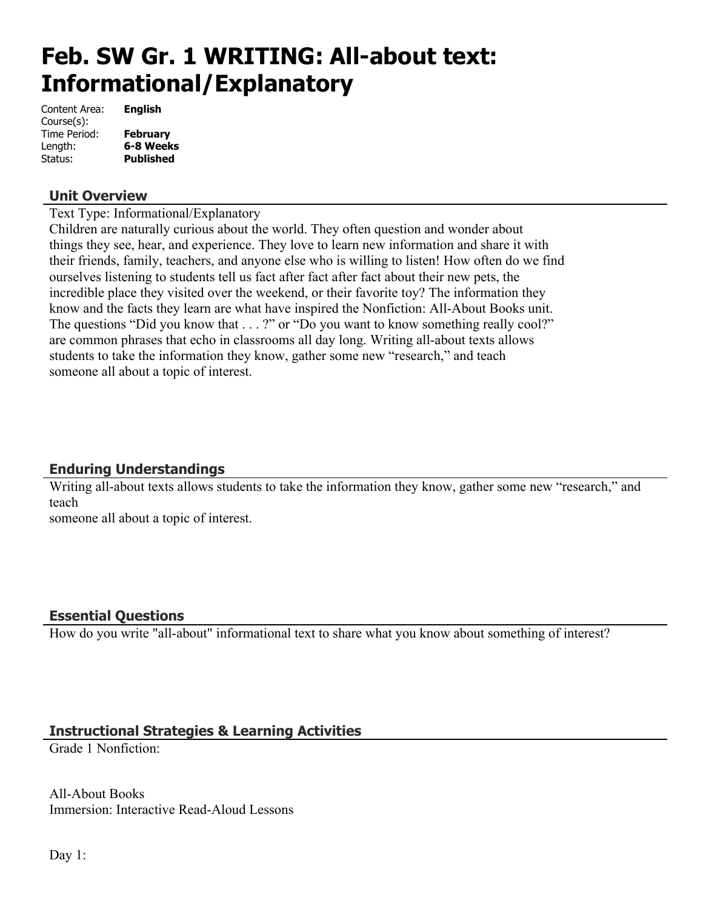# **Feb. SW Gr. 1 WRITING: All-about text: Informational/Explanatory**

| Content Area: | <b>English</b>   |
|---------------|------------------|
| Course(s):    |                  |
| Time Period:  | <b>February</b>  |
| Length:       | 6-8 Weeks        |
| Status:       | <b>Published</b> |

#### **Unit Overview**

Text Type: Informational/Explanatory

Children are naturally curious about the world. They often question and wonder about things they see, hear, and experience. They love to learn new information and share it with their friends, family, teachers, and anyone else who is willing to listen! How often do we find ourselves listening to students tell us fact after fact after fact about their new pets, the incredible place they visited over the weekend, or their favorite toy? The information they know and the facts they learn are what have inspired the Nonfiction: All-About Books unit. The questions "Did you know that . . . ?" or "Do you want to know something really cool?" are common phrases that echo in classrooms all day long. Writing all-about texts allows students to take the information they know, gather some new "research," and teach someone all about a topic of interest.

# **Enduring Understandings**

Writing all-about texts allows students to take the information they know, gather some new "research," and teach

someone all about a topic of interest.

## **Essential Questions**

How do you write "all-about" informational text to share what you know about something of interest?

# **Instructional Strategies & Learning Activities**

Grade 1 Nonfiction:

All-About Books Immersion: Interactive Read-Aloud Lessons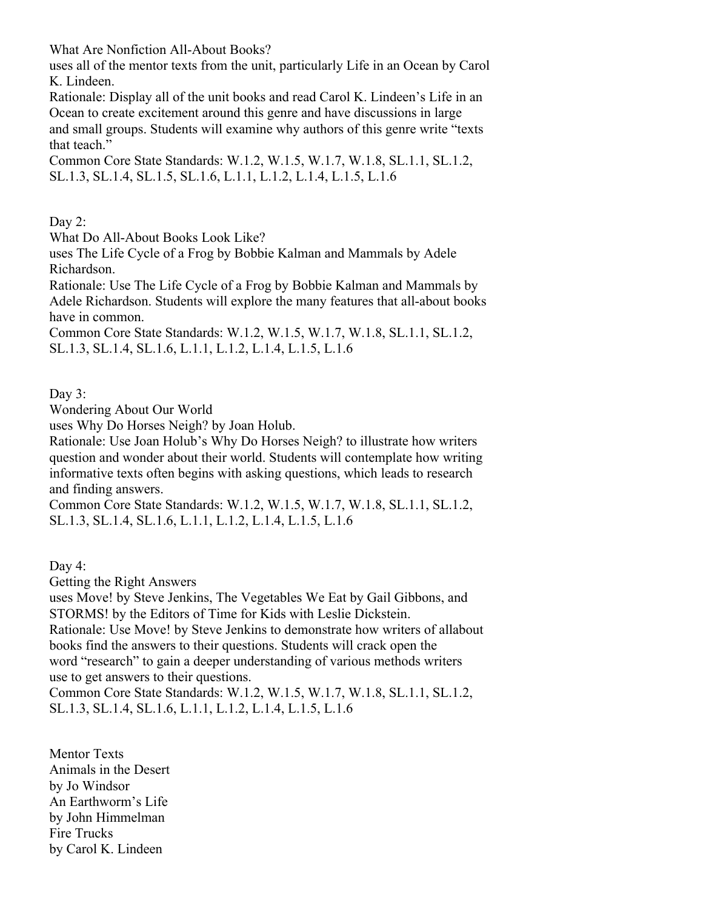What Are Nonfiction All-About Books?

uses all of the mentor texts from the unit, particularly Life in an Ocean by Carol K. Lindeen.

Rationale: Display all of the unit books and read Carol K. Lindeen's Life in an Ocean to create excitement around this genre and have discussions in large and small groups. Students will examine why authors of this genre write "texts that teach."

Common Core State Standards: W.1.2, W.1.5, W.1.7, W.1.8, SL.1.1, SL.1.2, SL.1.3, SL.1.4, SL.1.5, SL.1.6, L.1.1, L.1.2, L.1.4, L.1.5, L.1.6

Day 2:

What Do All-About Books Look Like?

uses The Life Cycle of a Frog by Bobbie Kalman and Mammals by Adele Richardson.

Rationale: Use The Life Cycle of a Frog by Bobbie Kalman and Mammals by Adele Richardson. Students will explore the many features that all-about books have in common.

Common Core State Standards: W.1.2, W.1.5, W.1.7, W.1.8, SL.1.1, SL.1.2, SL.1.3, SL.1.4, SL.1.6, L.1.1, L.1.2, L.1.4, L.1.5, L.1.6

Day 3:

Wondering About Our World

uses Why Do Horses Neigh? by Joan Holub.

Rationale: Use Joan Holub's Why Do Horses Neigh? to illustrate how writers question and wonder about their world. Students will contemplate how writing informative texts often begins with asking questions, which leads to research and finding answers.

Common Core State Standards: W.1.2, W.1.5, W.1.7, W.1.8, SL.1.1, SL.1.2, SL.1.3, SL.1.4, SL.1.6, L.1.1, L.1.2, L.1.4, L.1.5, L.1.6

Day 4:

Getting the Right Answers

uses Move! by Steve Jenkins, The Vegetables We Eat by Gail Gibbons, and STORMS! by the Editors of Time for Kids with Leslie Dickstein.

Rationale: Use Move! by Steve Jenkins to demonstrate how writers of allabout books find the answers to their questions. Students will crack open the word "research" to gain a deeper understanding of various methods writers use to get answers to their questions.

Common Core State Standards: W.1.2, W.1.5, W.1.7, W.1.8, SL.1.1, SL.1.2, SL.1.3, SL.1.4, SL.1.6, L.1.1, L.1.2, L.1.4, L.1.5, L.1.6

Mentor Texts Animals in the Desert by Jo Windsor An Earthworm's Life by John Himmelman Fire Trucks by Carol K. Lindeen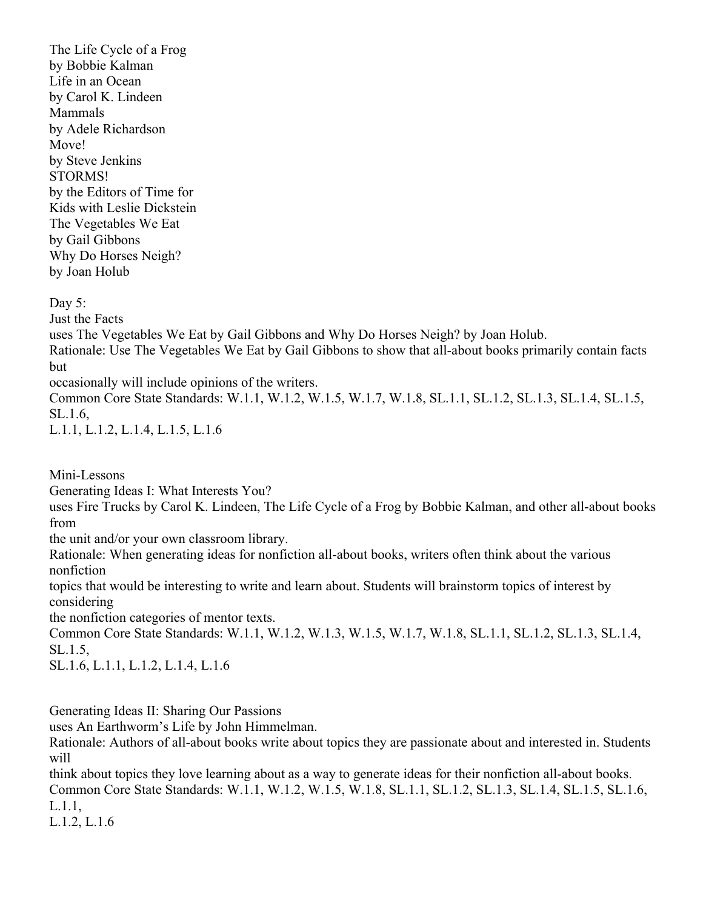The Life Cycle of a Frog by Bobbie Kalman Life in an Ocean by Carol K. Lindeen Mammals by Adele Richardson Move! by Steve Jenkins STORMS! by the Editors of Time for Kids with Leslie Dickstein The Vegetables We Eat by Gail Gibbons Why Do Horses Neigh? by Joan Holub

Day  $5$ : Just the Facts uses The Vegetables We Eat by Gail Gibbons and Why Do Horses Neigh? by Joan Holub. Rationale: Use The Vegetables We Eat by Gail Gibbons to show that all-about books primarily contain facts but occasionally will include opinions of the writers. Common Core State Standards: W.1.1, W.1.2, W.1.5, W.1.7, W.1.8, SL.1.1, SL.1.2, SL.1.3, SL.1.4, SL.1.5, SL.1.6,

L.1.1, L.1.2, L.1.4, L.1.5, L.1.6

Mini-Lessons

Generating Ideas I: What Interests You?

uses Fire Trucks by Carol K. Lindeen, The Life Cycle of a Frog by Bobbie Kalman, and other all-about books from

the unit and/or your own classroom library.

Rationale: When generating ideas for nonfiction all-about books, writers often think about the various nonfiction

topics that would be interesting to write and learn about. Students will brainstorm topics of interest by considering

the nonfiction categories of mentor texts.

Common Core State Standards: W.1.1, W.1.2, W.1.3, W.1.5, W.1.7, W.1.8, SL.1.1, SL.1.2, SL.1.3, SL.1.4, SL.1.5,

SL.1.6, L.1.1, L.1.2, L.1.4, L.1.6

Generating Ideas II: Sharing Our Passions

uses An Earthworm's Life by John Himmelman.

Rationale: Authors of all-about books write about topics they are passionate about and interested in. Students will

think about topics they love learning about as a way to generate ideas for their nonfiction all-about books. Common Core State Standards: W.1.1, W.1.2, W.1.5, W.1.8, SL.1.1, SL.1.2, SL.1.3, SL.1.4, SL.1.5, SL.1.6, L.1.1,

L.1.2, L.1.6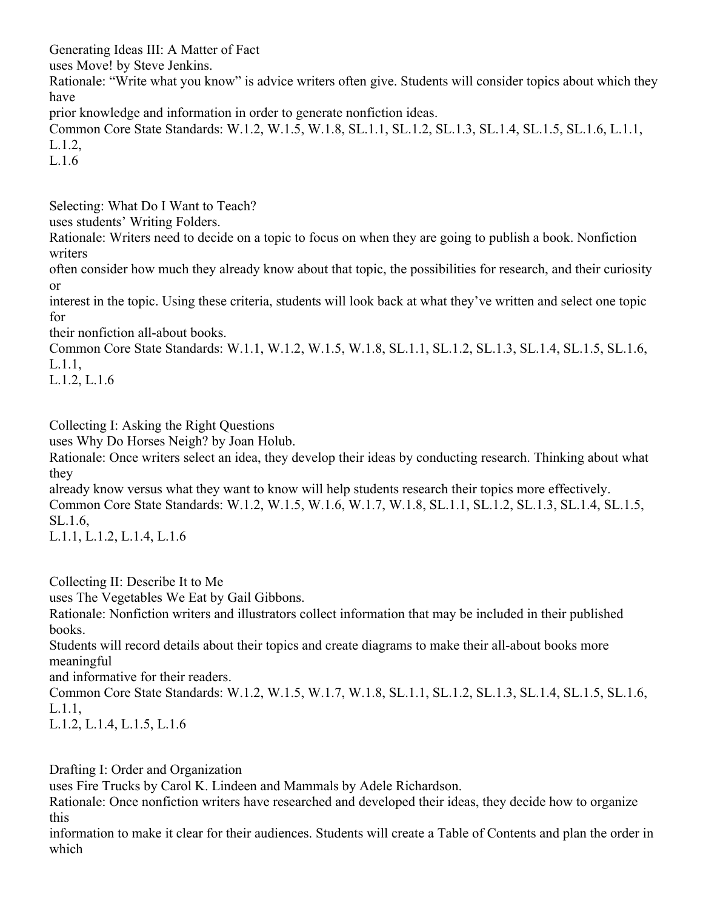Generating Ideas III: A Matter of Fact uses Move! by Steve Jenkins. Rationale: "Write what you know" is advice writers often give. Students will consider topics about which they have prior knowledge and information in order to generate nonfiction ideas.

Common Core State Standards: W.1.2, W.1.5, W.1.8, SL.1.1, SL.1.2, SL.1.3, SL.1.4, SL.1.5, SL.1.6, L.1.1, L.1.2,

L.1.6

Selecting: What Do I Want to Teach?

uses students' Writing Folders.

Rationale: Writers need to decide on a topic to focus on when they are going to publish a book. Nonfiction writers

often consider how much they already know about that topic, the possibilities for research, and their curiosity or

interest in the topic. Using these criteria, students will look back at what they've written and select one topic for

their nonfiction all-about books.

Common Core State Standards: W.1.1, W.1.2, W.1.5, W.1.8, SL.1.1, SL.1.2, SL.1.3, SL.1.4, SL.1.5, SL.1.6, L.1.1,

L.1.2, L.1.6

Collecting I: Asking the Right Questions

uses Why Do Horses Neigh? by Joan Holub.

Rationale: Once writers select an idea, they develop their ideas by conducting research. Thinking about what they

already know versus what they want to know will help students research their topics more effectively. Common Core State Standards: W.1.2, W.1.5, W.1.6, W.1.7, W.1.8, SL.1.1, SL.1.2, SL.1.3, SL.1.4, SL.1.5, SL.1.6,

L.1.1, L.1.2, L.1.4, L.1.6

Collecting II: Describe It to Me

uses The Vegetables We Eat by Gail Gibbons.

Rationale: Nonfiction writers and illustrators collect information that may be included in their published books.

Students will record details about their topics and create diagrams to make their all-about books more meaningful

and informative for their readers.

Common Core State Standards: W.1.2, W.1.5, W.1.7, W.1.8, SL.1.1, SL.1.2, SL.1.3, SL.1.4, SL.1.5, SL.1.6, L.1.1,

L.1.2, L.1.4, L.1.5, L.1.6

Drafting I: Order and Organization

uses Fire Trucks by Carol K. Lindeen and Mammals by Adele Richardson.

Rationale: Once nonfiction writers have researched and developed their ideas, they decide how to organize this

information to make it clear for their audiences. Students will create a Table of Contents and plan the order in which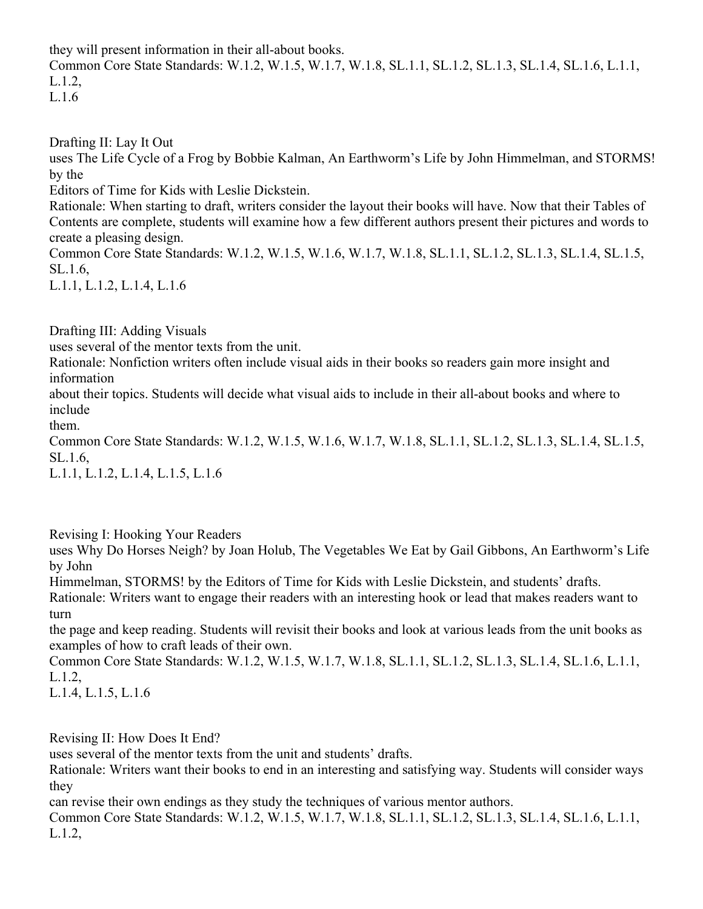they will present information in their all-about books. Common Core State Standards: W.1.2, W.1.5, W.1.7, W.1.8, SL.1.1, SL.1.2, SL.1.3, SL.1.4, SL.1.6, L.1.1, L.1.2, L.1.6

Drafting II: Lay It Out

uses The Life Cycle of a Frog by Bobbie Kalman, An Earthworm's Life by John Himmelman, and STORMS! by the

Editors of Time for Kids with Leslie Dickstein.

Rationale: When starting to draft, writers consider the layout their books will have. Now that their Tables of Contents are complete, students will examine how a few different authors present their pictures and words to create a pleasing design.

Common Core State Standards: W.1.2, W.1.5, W.1.6, W.1.7, W.1.8, SL.1.1, SL.1.2, SL.1.3, SL.1.4, SL.1.5, SL.1.6,

L.1.1, L.1.2, L.1.4, L.1.6

Drafting III: Adding Visuals

uses several of the mentor texts from the unit.

Rationale: Nonfiction writers often include visual aids in their books so readers gain more insight and information

about their topics. Students will decide what visual aids to include in their all-about books and where to include

them.

Common Core State Standards: W.1.2, W.1.5, W.1.6, W.1.7, W.1.8, SL.1.1, SL.1.2, SL.1.3, SL.1.4, SL.1.5, SL.1.6,

L.1.1, L.1.2, L.1.4, L.1.5, L.1.6

Revising I: Hooking Your Readers

uses Why Do Horses Neigh? by Joan Holub, The Vegetables We Eat by Gail Gibbons, An Earthworm's Life by John

Himmelman, STORMS! by the Editors of Time for Kids with Leslie Dickstein, and students' drafts.

Rationale: Writers want to engage their readers with an interesting hook or lead that makes readers want to turn

the page and keep reading. Students will revisit their books and look at various leads from the unit books as examples of how to craft leads of their own.

Common Core State Standards: W.1.2, W.1.5, W.1.7, W.1.8, SL.1.1, SL.1.2, SL.1.3, SL.1.4, SL.1.6, L.1.1, L.1.2,

L.1.4, L.1.5, L.1.6

Revising II: How Does It End?

uses several of the mentor texts from the unit and students' drafts.

Rationale: Writers want their books to end in an interesting and satisfying way. Students will consider ways they

can revise their own endings as they study the techniques of various mentor authors.

Common Core State Standards: W.1.2, W.1.5, W.1.7, W.1.8, SL.1.1, SL.1.2, SL.1.3, SL.1.4, SL.1.6, L.1.1, L.1.2,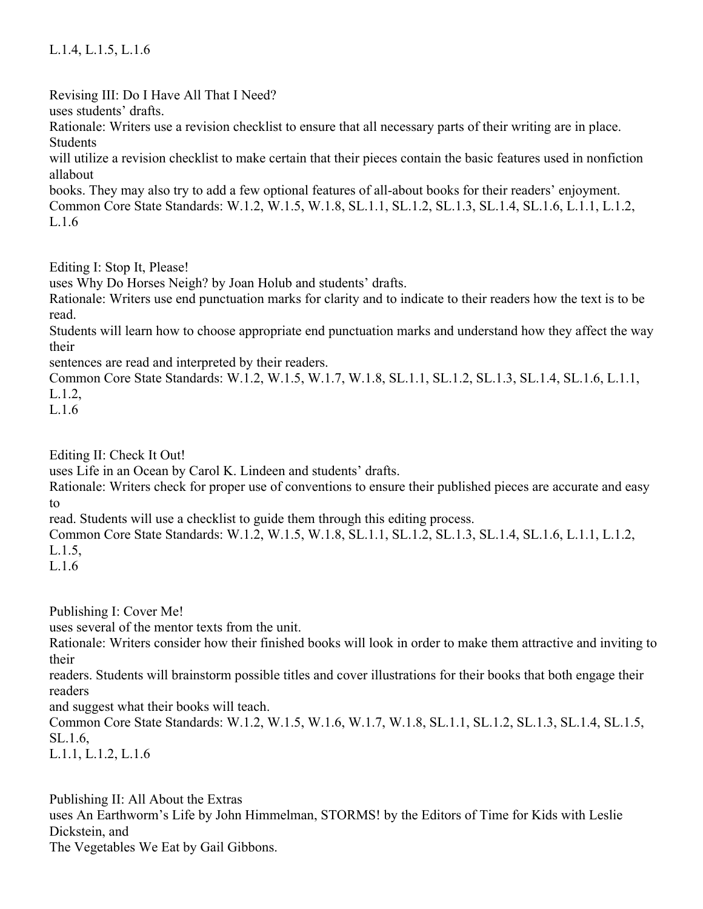## L.1.4, L.1.5, L.1.6

Revising III: Do I Have All That I Need?

uses students' drafts.

Rationale: Writers use a revision checklist to ensure that all necessary parts of their writing are in place. Students

will utilize a revision checklist to make certain that their pieces contain the basic features used in nonfiction allabout

books. They may also try to add a few optional features of all-about books for their readers' enjoyment. Common Core State Standards: W.1.2, W.1.5, W.1.8, SL.1.1, SL.1.2, SL.1.3, SL.1.4, SL.1.6, L.1.1, L.1.2, L.1.6

Editing I: Stop It, Please!

uses Why Do Horses Neigh? by Joan Holub and students' drafts.

Rationale: Writers use end punctuation marks for clarity and to indicate to their readers how the text is to be read.

Students will learn how to choose appropriate end punctuation marks and understand how they affect the way their

sentences are read and interpreted by their readers.

Common Core State Standards: W.1.2, W.1.5, W.1.7, W.1.8, SL.1.1, SL.1.2, SL.1.3, SL.1.4, SL.1.6, L.1.1, L.1.2,

L.1.6

Editing II: Check It Out!

uses Life in an Ocean by Carol K. Lindeen and students' drafts.

Rationale: Writers check for proper use of conventions to ensure their published pieces are accurate and easy to

read. Students will use a checklist to guide them through this editing process.

Common Core State Standards: W.1.2, W.1.5, W.1.8, SL.1.1, SL.1.2, SL.1.3, SL.1.4, SL.1.6, L.1.1, L.1.2, L.1.5,

L.1.6

Publishing I: Cover Me!

uses several of the mentor texts from the unit.

Rationale: Writers consider how their finished books will look in order to make them attractive and inviting to their

readers. Students will brainstorm possible titles and cover illustrations for their books that both engage their readers

and suggest what their books will teach.

Common Core State Standards: W.1.2, W.1.5, W.1.6, W.1.7, W.1.8, SL.1.1, SL.1.2, SL.1.3, SL.1.4, SL.1.5, SL.1.6,

L.1.1, L.1.2, L.1.6

Publishing II: All About the Extras uses An Earthworm's Life by John Himmelman, STORMS! by the Editors of Time for Kids with Leslie Dickstein, and The Vegetables We Eat by Gail Gibbons.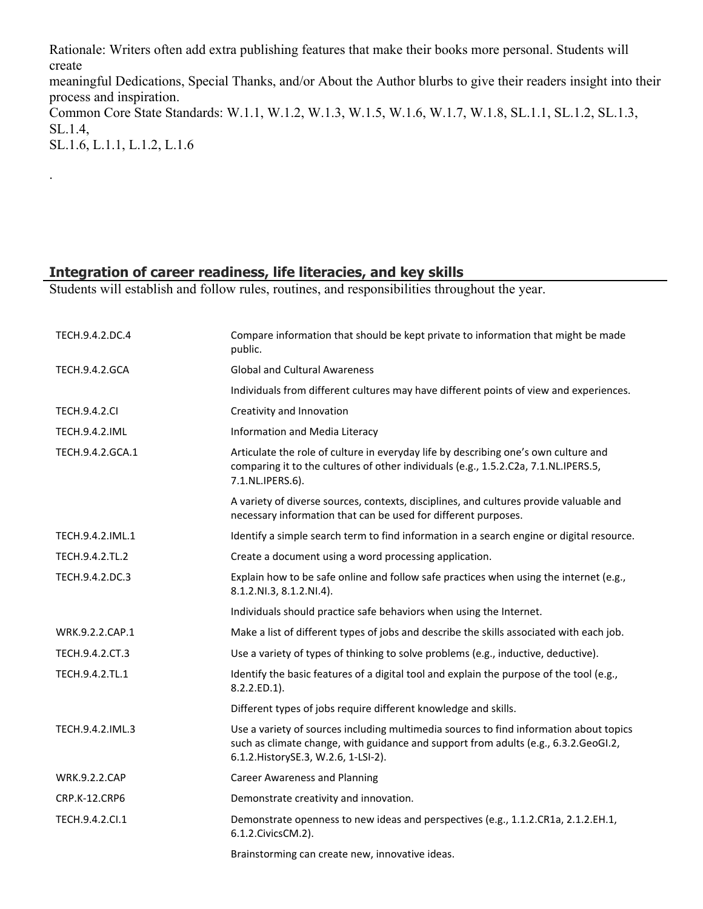Rationale: Writers often add extra publishing features that make their books more personal. Students will create

meaningful Dedications, Special Thanks, and/or About the Author blurbs to give their readers insight into their process and inspiration.

Common Core State Standards: W.1.1, W.1.2, W.1.3, W.1.5, W.1.6, W.1.7, W.1.8, SL.1.1, SL.1.2, SL.1.3, SL.1.4,

SL.1.6, L.1.1, L.1.2, L.1.6

.

#### **Integration of career readiness, life literacies, and key skills**

Students will establish and follow rules, routines, and responsibilities throughout the year.

| TECH.9.4.2.DC.4       | Compare information that should be kept private to information that might be made<br>public.                                                                                                                          |
|-----------------------|-----------------------------------------------------------------------------------------------------------------------------------------------------------------------------------------------------------------------|
| <b>TECH.9.4.2.GCA</b> | <b>Global and Cultural Awareness</b>                                                                                                                                                                                  |
|                       | Individuals from different cultures may have different points of view and experiences.                                                                                                                                |
| <b>TECH.9.4.2.CI</b>  | Creativity and Innovation                                                                                                                                                                                             |
| <b>TECH.9.4.2.IML</b> | Information and Media Literacy                                                                                                                                                                                        |
| TECH.9.4.2.GCA.1      | Articulate the role of culture in everyday life by describing one's own culture and<br>comparing it to the cultures of other individuals (e.g., 1.5.2.C2a, 7.1.NL.IPERS.5,<br>7.1.NL.IPERS.6).                        |
|                       | A variety of diverse sources, contexts, disciplines, and cultures provide valuable and<br>necessary information that can be used for different purposes.                                                              |
| TECH.9.4.2.IML.1      | Identify a simple search term to find information in a search engine or digital resource.                                                                                                                             |
| TECH.9.4.2.TL.2       | Create a document using a word processing application.                                                                                                                                                                |
| TECH.9.4.2.DC.3       | Explain how to be safe online and follow safe practices when using the internet (e.g.,<br>8.1.2.NI.3, 8.1.2.NI.4).                                                                                                    |
|                       | Individuals should practice safe behaviors when using the Internet.                                                                                                                                                   |
| WRK.9.2.2.CAP.1       | Make a list of different types of jobs and describe the skills associated with each job.                                                                                                                              |
| TECH.9.4.2.CT.3       | Use a variety of types of thinking to solve problems (e.g., inductive, deductive).                                                                                                                                    |
| TECH.9.4.2.TL.1       | Identify the basic features of a digital tool and explain the purpose of the tool (e.g.,<br>8.2.2.ED.1).                                                                                                              |
|                       | Different types of jobs require different knowledge and skills.                                                                                                                                                       |
| TECH.9.4.2.IML.3      | Use a variety of sources including multimedia sources to find information about topics<br>such as climate change, with guidance and support from adults (e.g., 6.3.2.GeoGI.2,<br>6.1.2. HistorySE.3, W.2.6, 1-LSI-2). |
| <b>WRK.9.2.2.CAP</b>  | <b>Career Awareness and Planning</b>                                                                                                                                                                                  |
| CRP.K-12.CRP6         | Demonstrate creativity and innovation.                                                                                                                                                                                |
| TECH.9.4.2.Cl.1       | Demonstrate openness to new ideas and perspectives (e.g., 1.1.2.CR1a, 2.1.2.EH.1,<br>6.1.2. Civics CM.2).                                                                                                             |
|                       | Brainstorming can create new, innovative ideas.                                                                                                                                                                       |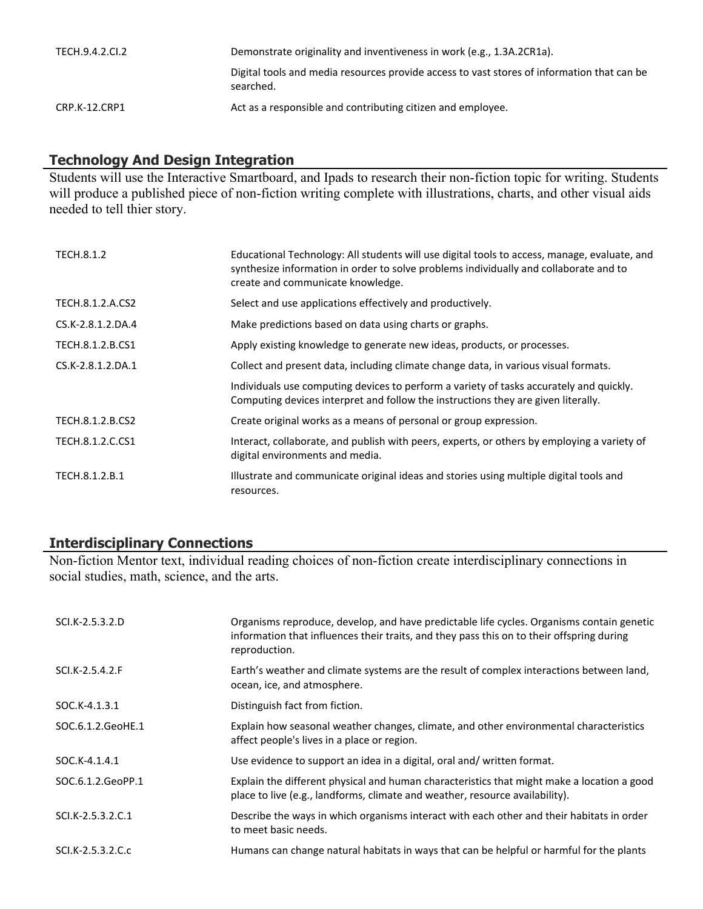| TECH.9.4.2.Cl.2 | Demonstrate originality and inventiveness in work (e.g., 1.3A.2CR1a).                                   |
|-----------------|---------------------------------------------------------------------------------------------------------|
|                 | Digital tools and media resources provide access to vast stores of information that can be<br>searched. |
| CRP.K-12.CRP1   | Act as a responsible and contributing citizen and employee.                                             |

## **Technology And Design Integration**

Students will use the Interactive Smartboard, and Ipads to research their non-fiction topic for writing. Students will produce a published piece of non-fiction writing complete with illustrations, charts, and other visual aids needed to tell thier story.

| TECH.8.1.2        | Educational Technology: All students will use digital tools to access, manage, evaluate, and<br>synthesize information in order to solve problems individually and collaborate and to<br>create and communicate knowledge. |
|-------------------|----------------------------------------------------------------------------------------------------------------------------------------------------------------------------------------------------------------------------|
| TECH.8.1.2.A.CS2  | Select and use applications effectively and productively.                                                                                                                                                                  |
| CS.K-2.8.1.2.DA.4 | Make predictions based on data using charts or graphs.                                                                                                                                                                     |
| TECH.8.1.2.B.CS1  | Apply existing knowledge to generate new ideas, products, or processes.                                                                                                                                                    |
| CS.K-2.8.1.2.DA.1 | Collect and present data, including climate change data, in various visual formats.                                                                                                                                        |
|                   | Individuals use computing devices to perform a variety of tasks accurately and quickly.<br>Computing devices interpret and follow the instructions they are given literally.                                               |
| TECH.8.1.2.B.CS2  | Create original works as a means of personal or group expression.                                                                                                                                                          |
| TECH.8.1.2.C.CS1  | Interact, collaborate, and publish with peers, experts, or others by employing a variety of<br>digital environments and media.                                                                                             |
| TECH.8.1.2.B.1    | Illustrate and communicate original ideas and stories using multiple digital tools and<br>resources.                                                                                                                       |

## **Interdisciplinary Connections**

Non-fiction Mentor text, individual reading choices of non-fiction create interdisciplinary connections in social studies, math, science, and the arts.

| SCI.K-2.5.3.2.D   | Organisms reproduce, develop, and have predictable life cycles. Organisms contain genetic<br>information that influences their traits, and they pass this on to their offspring during<br>reproduction. |
|-------------------|---------------------------------------------------------------------------------------------------------------------------------------------------------------------------------------------------------|
| SCI.K-2.5.4.2.F   | Earth's weather and climate systems are the result of complex interactions between land,<br>ocean, ice, and atmosphere.                                                                                 |
| SOC.K-4.1.3.1     | Distinguish fact from fiction.                                                                                                                                                                          |
| SOC.6.1.2.GeoHE.1 | Explain how seasonal weather changes, climate, and other environmental characteristics<br>affect people's lives in a place or region.                                                                   |
| SOC.K-4.1.4.1     | Use evidence to support an idea in a digital, oral and/written format.                                                                                                                                  |
| SOC.6.1.2.GeoPP.1 | Explain the different physical and human characteristics that might make a location a good<br>place to live (e.g., landforms, climate and weather, resource availability).                              |
| SCI.K-2.5.3.2.C.1 | Describe the ways in which organisms interact with each other and their habitats in order<br>to meet basic needs.                                                                                       |
| SCI.K-2.5.3.2.C.c | Humans can change natural habitats in ways that can be helpful or harmful for the plants                                                                                                                |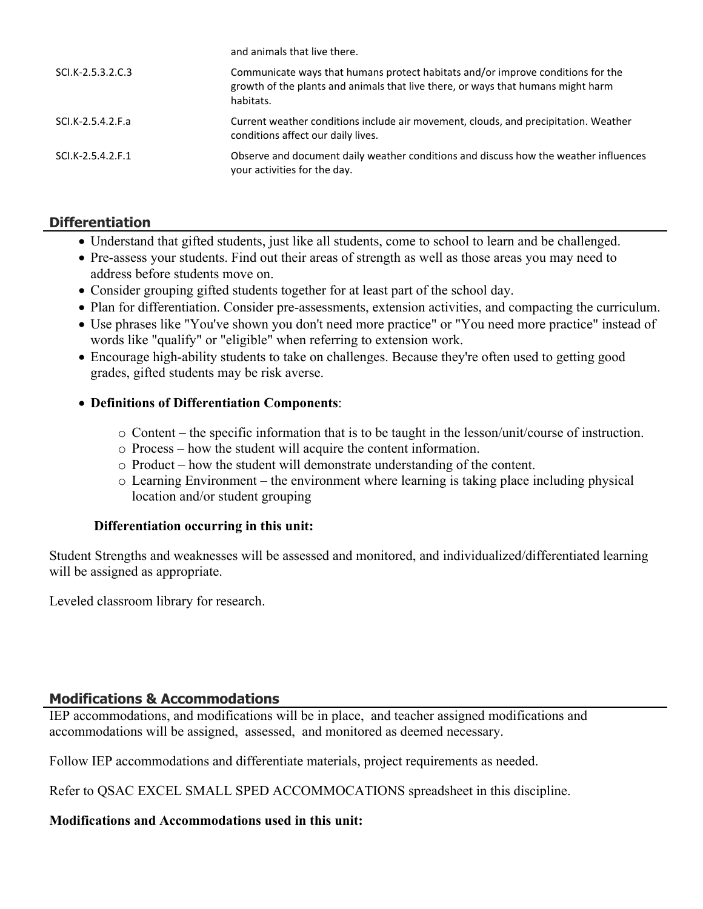| and animals that live there.                                                                                                                                                     |
|----------------------------------------------------------------------------------------------------------------------------------------------------------------------------------|
| Communicate ways that humans protect habitats and/or improve conditions for the<br>growth of the plants and animals that live there, or ways that humans might harm<br>habitats. |
| Current weather conditions include air movement, clouds, and precipitation. Weather<br>conditions affect our daily lives.                                                        |
| Observe and document daily weather conditions and discuss how the weather influences<br>your activities for the day.                                                             |
|                                                                                                                                                                                  |

## **Differentiation**

- Understand that gifted students, just like all students, come to school to learn and be challenged.
- Pre-assess your students. Find out their areas of strength as well as those areas you may need to address before students move on.
- Consider grouping gifted students together for at least part of the school day.
- Plan for differentiation. Consider pre-assessments, extension activities, and compacting the curriculum.
- Use phrases like "You've shown you don't need more practice" or "You need more practice" instead of words like "qualify" or "eligible" when referring to extension work.
- Encourage high-ability students to take on challenges. Because they're often used to getting good grades, gifted students may be risk averse.

#### **Definitions of Differentiation Components**:

- o Content the specific information that is to be taught in the lesson/unit/course of instruction.
- o Process how the student will acquire the content information.
- o Product how the student will demonstrate understanding of the content.
- o Learning Environment the environment where learning is taking place including physical location and/or student grouping

#### **Differentiation occurring in this unit:**

Student Strengths and weaknesses will be assessed and monitored, and individualized/differentiated learning will be assigned as appropriate.

Leveled classroom library for research.

#### **Modifications & Accommodations**

IEP accommodations, and modifications will be in place, and teacher assigned modifications and accommodations will be assigned, assessed, and monitored as deemed necessary.

Follow IEP accommodations and differentiate materials, project requirements as needed.

Refer to QSAC EXCEL SMALL SPED ACCOMMOCATIONS spreadsheet in this discipline.

#### **Modifications and Accommodations used in this unit:**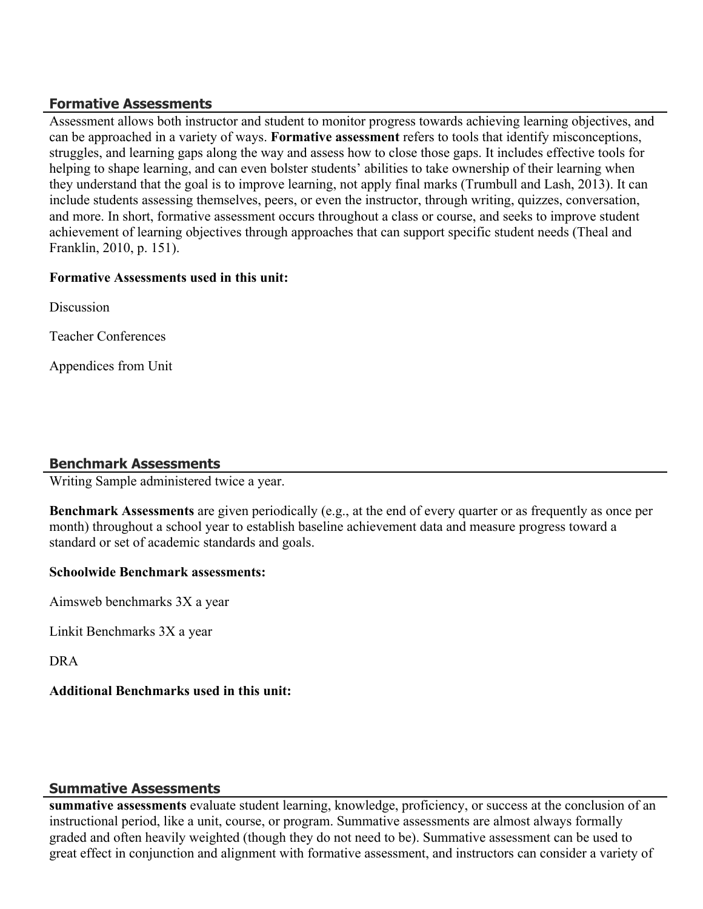## **Formative Assessments**

Assessment allows both instructor and student to monitor progress towards achieving learning objectives, and can be approached in a variety of ways. **Formative assessment** refers to tools that identify misconceptions, struggles, and learning gaps along the way and assess how to close those gaps. It includes effective tools for helping to shape learning, and can even bolster students' abilities to take ownership of their learning when they understand that the goal is to improve learning, not apply final marks (Trumbull and Lash, 2013). It can include students assessing themselves, peers, or even the instructor, through writing, quizzes, conversation, and more. In short, formative assessment occurs throughout a class or course, and seeks to improve student achievement of learning objectives through approaches that can support specific student needs (Theal and Franklin, 2010, p. 151).

## **Formative Assessments used in this unit:**

**Discussion** 

Teacher Conferences

Appendices from Unit

## **Benchmark Assessments**

Writing Sample administered twice a year.

**Benchmark Assessments** are given periodically (e.g., at the end of every quarter or as frequently as once per month) throughout a school year to establish baseline achievement data and measure progress toward a standard or set of academic standards and goals.

#### **Schoolwide Benchmark assessments:**

Aimsweb benchmarks 3X a year

Linkit Benchmarks 3X a year

DRA

## **Additional Benchmarks used in this unit:**

## **Summative Assessments**

**summative assessments** evaluate student learning, knowledge, proficiency, or success at the conclusion of an instructional period, like a unit, course, or program. Summative assessments are almost always formally graded and often heavily weighted (though they do not need to be). Summative assessment can be used to great effect in conjunction and alignment with formative assessment, and instructors can consider a variety of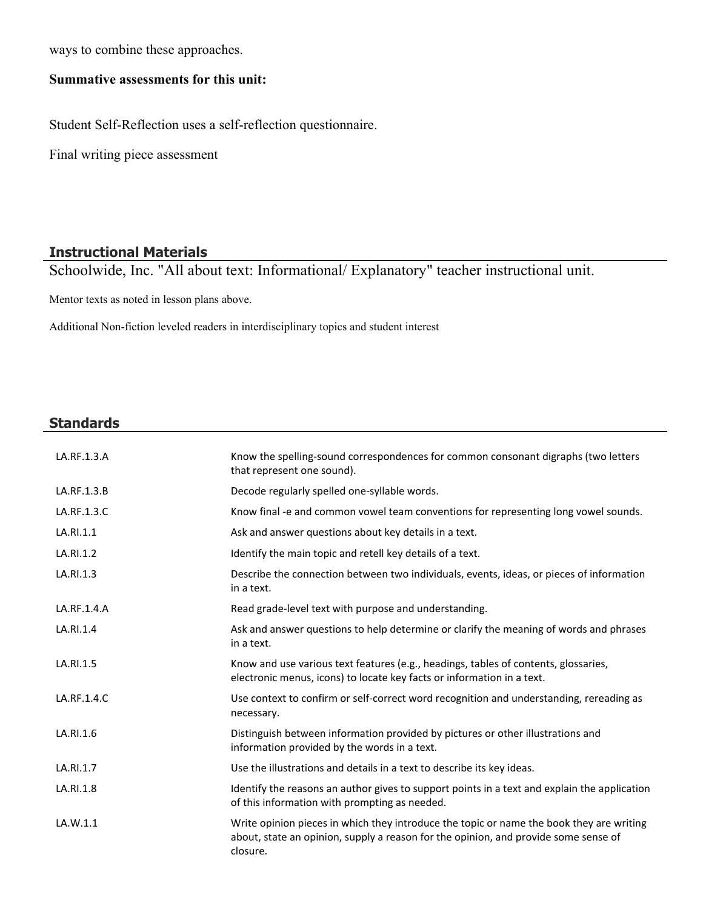ways to combine these approaches.

## **Summative assessments for this unit:**

Student Self-Reflection uses a self-reflection questionnaire.

Final writing piece assessment

#### **Instructional Materials**

Schoolwide, Inc. "All about text: Informational/ Explanatory" teacher instructional unit.

Mentor texts as noted in lesson plans above.

Additional Non-fiction leveled readers in interdisciplinary topics and student interest

#### **Standards**

| LA.RF.1.3.A | Know the spelling-sound correspondences for common consonant digraphs (two letters<br>that represent one sound).                                                                            |
|-------------|---------------------------------------------------------------------------------------------------------------------------------------------------------------------------------------------|
| LA.RF.1.3.B | Decode regularly spelled one-syllable words.                                                                                                                                                |
| LA.RF.1.3.C | Know final -e and common vowel team conventions for representing long vowel sounds.                                                                                                         |
| LA.RI.1.1   | Ask and answer questions about key details in a text.                                                                                                                                       |
| LA.RI.1.2   | Identify the main topic and retell key details of a text.                                                                                                                                   |
| LA.RI.1.3   | Describe the connection between two individuals, events, ideas, or pieces of information<br>in a text.                                                                                      |
| LA.RF.1.4.A | Read grade-level text with purpose and understanding.                                                                                                                                       |
| LA.RI.1.4   | Ask and answer questions to help determine or clarify the meaning of words and phrases<br>in a text.                                                                                        |
| LA.RI.1.5   | Know and use various text features (e.g., headings, tables of contents, glossaries,<br>electronic menus, icons) to locate key facts or information in a text.                               |
| LA.RF.1.4.C | Use context to confirm or self-correct word recognition and understanding, rereading as<br>necessary.                                                                                       |
| LA.RI.1.6   | Distinguish between information provided by pictures or other illustrations and<br>information provided by the words in a text.                                                             |
| LA.RI.1.7   | Use the illustrations and details in a text to describe its key ideas.                                                                                                                      |
| LA.RI.1.8   | Identify the reasons an author gives to support points in a text and explain the application<br>of this information with prompting as needed.                                               |
| LA.W.1.1    | Write opinion pieces in which they introduce the topic or name the book they are writing<br>about, state an opinion, supply a reason for the opinion, and provide some sense of<br>closure. |